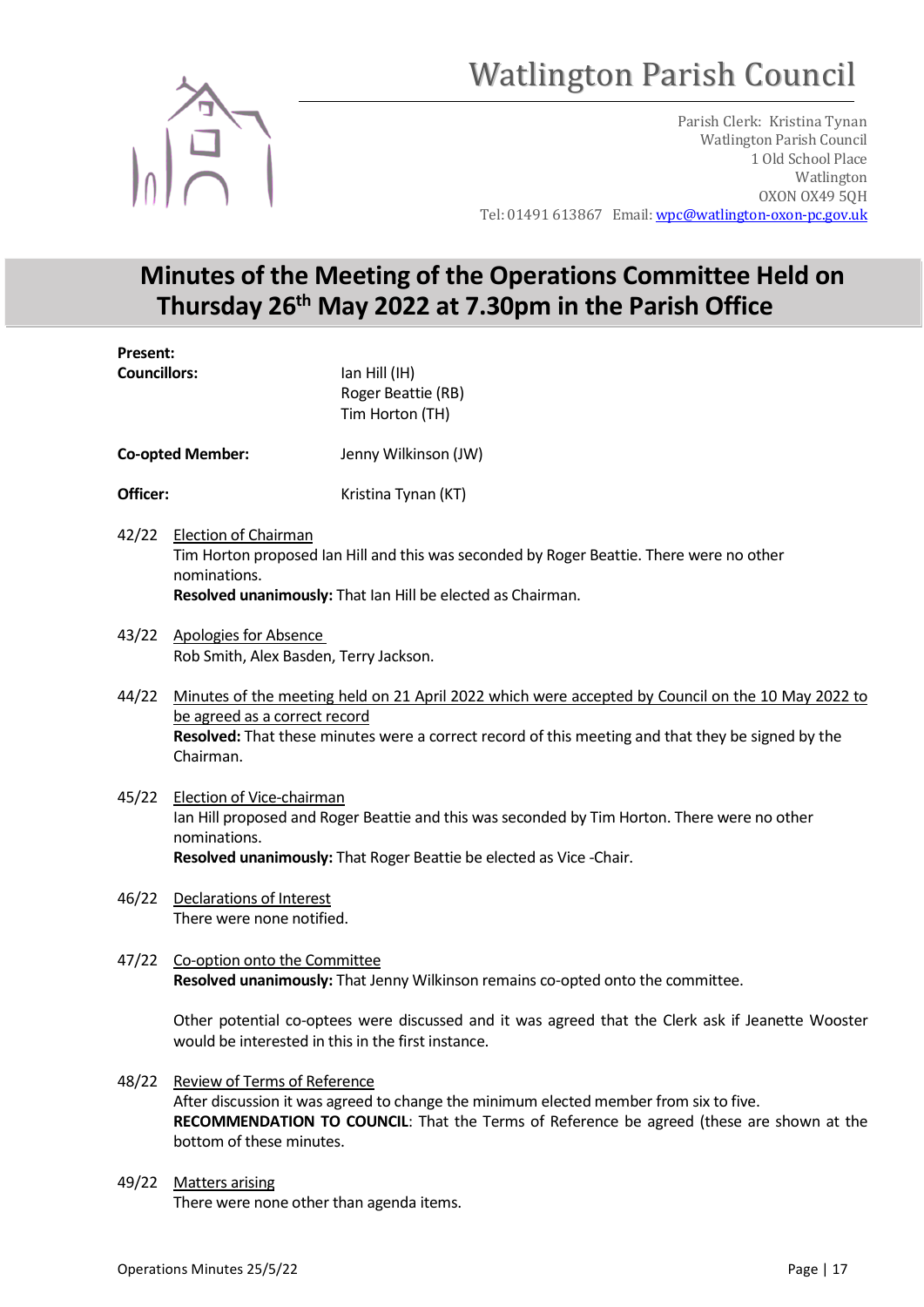# Watlington Parish Council



Parish Clerk: Kristina Tynan Watlington Parish Council 1 Old School Place Watlington OXON OX49 5QH Tel: 01491 613867 Email: wpc@watlington-oxon-pc.gov.uk

# Minutes of the Meeting of the Operations Committee Held on Thursday 26th May 2022 at 7.30pm in the Parish Office

Present: Councillors: Ian Hill (IH) Roger Beattie (RB) Tim Horton (TH) Co-opted Member: Jenny Wilkinson (JW) **Officer:** Kristina Tynan (KT) 42/22 Election of Chairman Tim Horton proposed Ian Hill and this was seconded by Roger Beattie. There were no other nominations. Resolved unanimously: That Ian Hill be elected as Chairman. 43/22 Apologies for Absence Rob Smith, Alex Basden, Terry Jackson. 44/22 Minutes of the meeting held on 21 April 2022 which were accepted by Council on the 10 May 2022 to be agreed as a correct record Resolved: That these minutes were a correct record of this meeting and that they be signed by the Chairman.

- 45/22 Election of Vice-chairman Ian Hill proposed and Roger Beattie and this was seconded by Tim Horton. There were no other nominations. Resolved unanimously: That Roger Beattie be elected as Vice -Chair.
- 46/22 Declarations of Interest There were none notified.
- 47/22 Co-option onto the Committee Resolved unanimously: That Jenny Wilkinson remains co-opted onto the committee.

Other potential co-optees were discussed and it was agreed that the Clerk ask if Jeanette Wooster would be interested in this in the first instance.

- 48/22 Review of Terms of Reference After discussion it was agreed to change the minimum elected member from six to five. RECOMMENDATION TO COUNCIL: That the Terms of Reference be agreed (these are shown at the bottom of these minutes.
- 49/22 Matters arising There were none other than agenda items.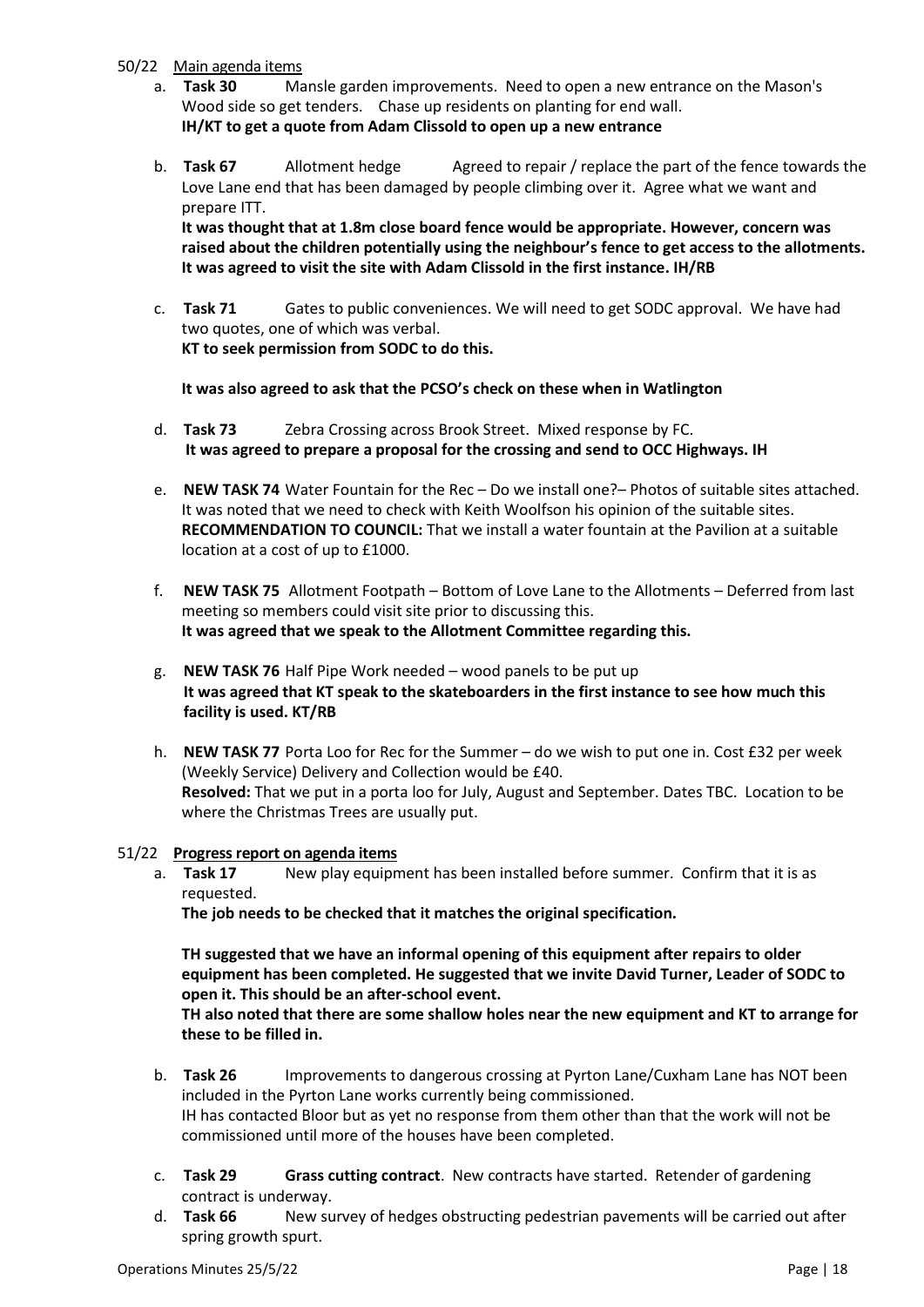# 50/22 Main agenda items

- a. Task 30 Mansle garden improvements. Need to open a new entrance on the Mason's Wood side so get tenders. Chase up residents on planting for end wall. IH/KT to get a quote from Adam Clissold to open up a new entrance
- b. **Task 67** Allotment hedge Agreed to repair / replace the part of the fence towards the Love Lane end that has been damaged by people climbing over it. Agree what we want and prepare ITT.

It was thought that at 1.8m close board fence would be appropriate. However, concern was raised about the children potentially using the neighbour's fence to get access to the allotments. It was agreed to visit the site with Adam Clissold in the first instance. IH/RB

c. Task 71 Gates to public conveniences. We will need to get SODC approval. We have had two quotes, one of which was verbal. KT to seek permission from SODC to do this.

It was also agreed to ask that the PCSO's check on these when in Watlington

- d. Task 73 Zebra Crossing across Brook Street. Mixed response by FC. It was agreed to prepare a proposal for the crossing and send to OCC Highways. IH
- e. NEW TASK 74 Water Fountain for the Rec Do we install one?– Photos of suitable sites attached. It was noted that we need to check with Keith Woolfson his opinion of the suitable sites. RECOMMENDATION TO COUNCIL: That we install a water fountain at the Pavilion at a suitable location at a cost of up to £1000.
- f. NEW TASK 75 Allotment Footpath Bottom of Love Lane to the Allotments Deferred from last meeting so members could visit site prior to discussing this. It was agreed that we speak to the Allotment Committee regarding this.
- g. NEW TASK 76 Half Pipe Work needed wood panels to be put up It was agreed that KT speak to the skateboarders in the first instance to see how much this facility is used. KT/RB
- h. NEW TASK 77 Porta Loo for Rec for the Summer do we wish to put one in. Cost £32 per week (Weekly Service) Delivery and Collection would be £40. Resolved: That we put in a porta loo for July, August and September. Dates TBC. Location to be where the Christmas Trees are usually put.

# 51/22 Progress report on agenda items

a. **Task 17** New play equipment has been installed before summer. Confirm that it is as requested.

The job needs to be checked that it matches the original specification.

TH suggested that we have an informal opening of this equipment after repairs to older equipment has been completed. He suggested that we invite David Turner, Leader of SODC to open it. This should be an after-school event.

TH also noted that there are some shallow holes near the new equipment and KT to arrange for these to be filled in.

- b. Task 26 Improvements to dangerous crossing at Pyrton Lane/Cuxham Lane has NOT been included in the Pyrton Lane works currently being commissioned. IH has contacted Bloor but as yet no response from them other than that the work will not be commissioned until more of the houses have been completed.
- c. Task 29 Grass cutting contract. New contracts have started. Retender of gardening contract is underway.
- d. Task 66 New survey of hedges obstructing pedestrian pavements will be carried out after spring growth spurt.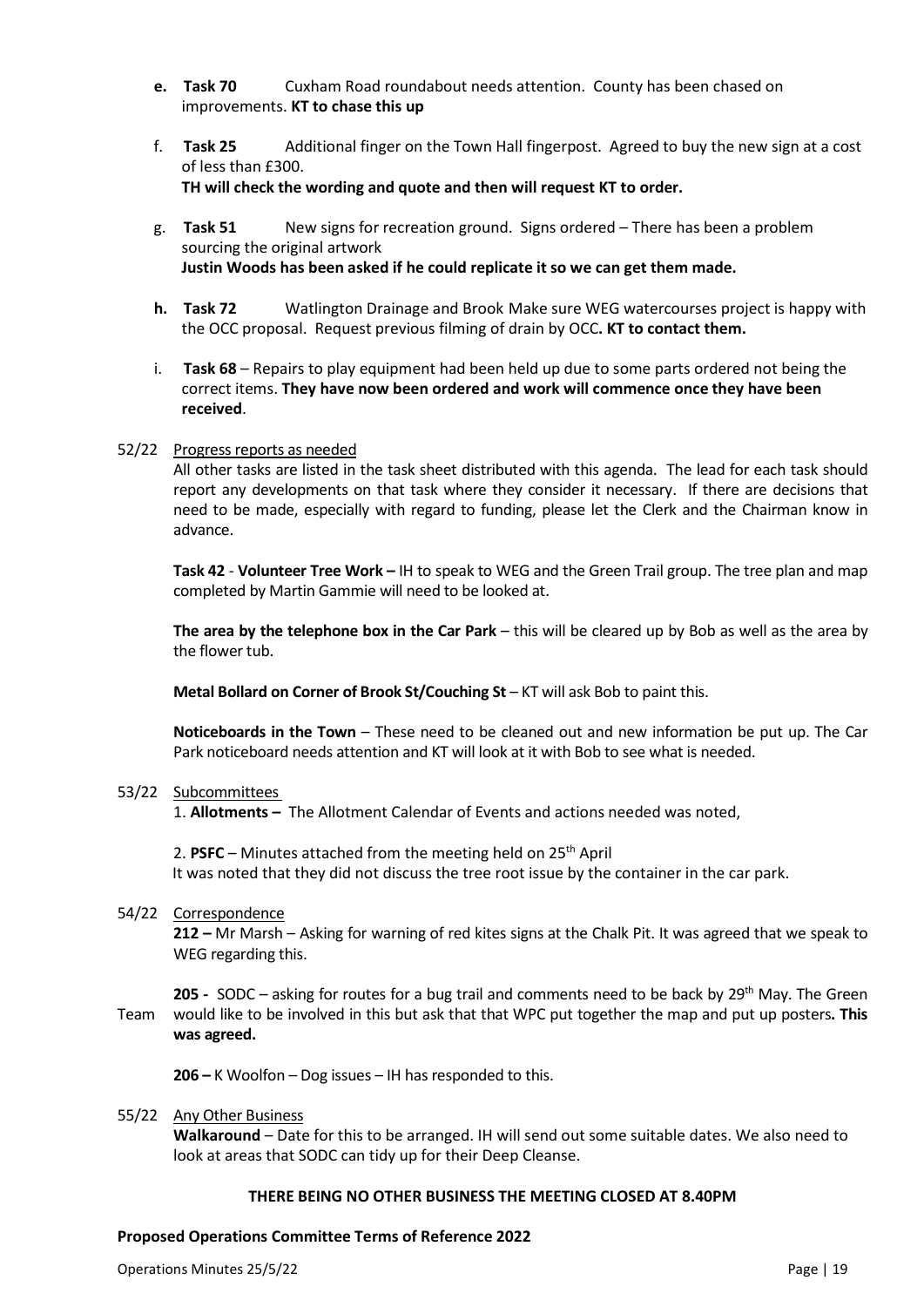- e. Task 70 Cuxham Road roundabout needs attention. County has been chased on improvements. KT to chase this up
- f. Task 25 Additional finger on the Town Hall fingerpost. Agreed to buy the new sign at a cost of less than £300. TH will check the wording and quote and then will request KT to order.
- g. Task 51 New signs for recreation ground. Signs ordered There has been a problem sourcing the original artwork Justin Woods has been asked if he could replicate it so we can get them made.
- h. Task 72 Watlington Drainage and Brook Make sure WEG watercourses project is happy with the OCC proposal. Request previous filming of drain by OCC. KT to contact them.
- i. Task 68 Repairs to play equipment had been held up due to some parts ordered not being the correct items. They have now been ordered and work will commence once they have been received.

### 52/22 Progress reports as needed

 All other tasks are listed in the task sheet distributed with this agenda. The lead for each task should report any developments on that task where they consider it necessary. If there are decisions that need to be made, especially with regard to funding, please let the Clerk and the Chairman know in advance.

Task 42 - Volunteer Tree Work – IH to speak to WEG and the Green Trail group. The tree plan and map completed by Martin Gammie will need to be looked at.

The area by the telephone box in the Car Park  $-$  this will be cleared up by Bob as well as the area by the flower tub.

Metal Bollard on Corner of Brook St/Couching St – KT will ask Bob to paint this.

Noticeboards in the Town – These need to be cleaned out and new information be put up. The Car Park noticeboard needs attention and KT will look at it with Bob to see what is needed.

#### 53/22 Subcommittees

1. Allotments – The Allotment Calendar of Events and actions needed was noted,

2. PSFC – Minutes attached from the meeting held on  $25<sup>th</sup>$  April It was noted that they did not discuss the tree root issue by the container in the car park.

### 54/22 Correspondence

 212 – Mr Marsh – Asking for warning of red kites signs at the Chalk Pit. It was agreed that we speak to WEG regarding this.

205 - SODC – asking for routes for a bug trail and comments need to be back by  $29<sup>th</sup>$  May. The Green

Team would like to be involved in this but ask that that WPC put together the map and put up posters. This was agreed.

206 – K Woolfon – Dog issues – IH has responded to this.

### 55/22 Any Other Business

Walkaround – Date for this to be arranged. IH will send out some suitable dates. We also need to look at areas that SODC can tidy up for their Deep Cleanse.

### THERE BEING NO OTHER BUSINESS THE MEETING CLOSED AT 8.40PM

### Proposed Operations Committee Terms of Reference 2022

Operations Minutes 25/5/22 Page | 19